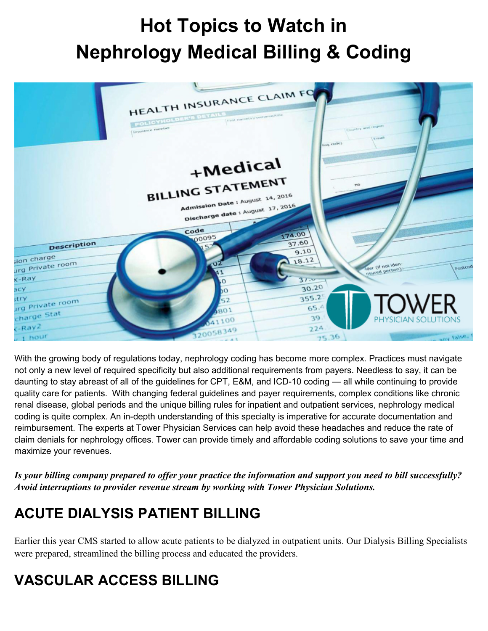# **Hot Topics to Watch in Nephrology Medical Billing & Coding**



With the growing body of regulations today, nephrology coding has become more complex. Practices must navigate not only a new level of required specificity but also additional requirements from payers. Needless to say, it can be daunting to stay abreast of all of the guidelines for CPT, E&M, and ICD-10 coding — all while continuing to provide quality care for patients. With changing federal guidelines and payer requirements, complex conditions like chronic renal disease, global periods and the unique billing rules for inpatient and outpatient services, nephrology medical coding is quite complex. An in-depth understanding of this specialty is imperative for accurate documentation and reimbursement. The experts at Tower Physician Services can help avoid these headaches and reduce the rate of claim denials for nephrology offices. Tower can provide timely and affordable coding solutions to save your time and maximize your revenues.

*Is your billing company prepared to offer your practice the information and support you need to bill successfully? Avoid interruptions to provider revenue stream by working with Tower Physician Solutions.*

#### **ACUTE DIALYSIS PATIENT BILLING**

Earlier this year CMS started to allow acute patients to be dialyzed in outpatient units. Our Dialysis Billing Specialists were prepared, streamlined the billing process and educated the providers.

## **VASCULAR ACCESS BILLING**